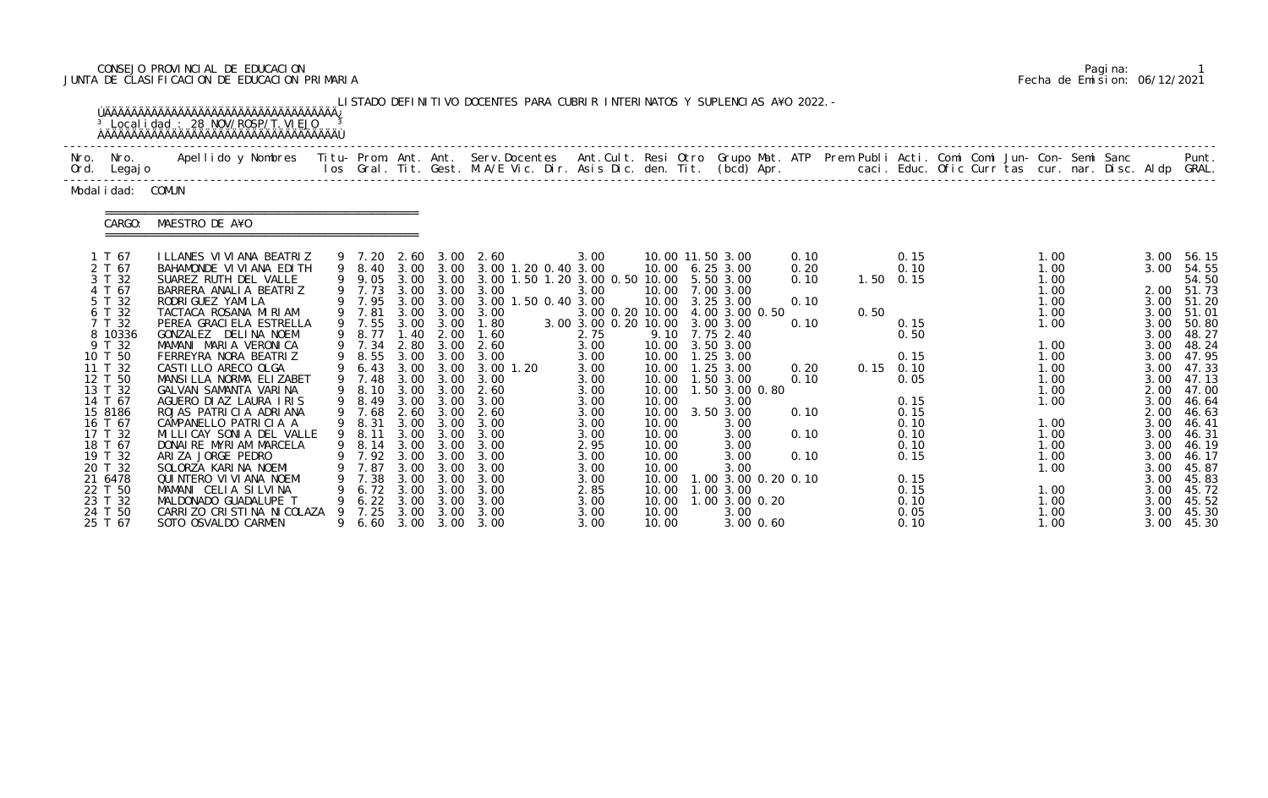# CONSEJO PROVINCIAL DE EDUCACION Pagina: 1 JUNTA DE CLASIFICACION DE EDUCACION PRIMARIA Fecha de Emision: 06/12/2021

|              |                                                                                                                                                                                                                                                              | <sup>3</sup> Local i dad: 28 NOV/ROSP/T. VI EJO                                                                                                                                                                                                                                                                                                                                                                                                                                                                                                                                                                                         |         |                                                                                                                                                                                                                    |                                                                                                                              |                                                                                                                                                     | LISTADO DEFINITIVO DOCENTES PARA CUBRIR INTERINATOS Y SUPLENCIAS A¥O 2022. -                                                                                                                                                                                                                                                                     |                                                                                                                                                                                                 |                                                                                                                                             |                                                                                                                                                                                                                                                                                                                                             |                                                                              |      |                                                                                                                                                               |  |                                                                                                                                                                      |                                                                                                                                                                                      |                                                                                                                                                                                                                      |
|--------------|--------------------------------------------------------------------------------------------------------------------------------------------------------------------------------------------------------------------------------------------------------------|-----------------------------------------------------------------------------------------------------------------------------------------------------------------------------------------------------------------------------------------------------------------------------------------------------------------------------------------------------------------------------------------------------------------------------------------------------------------------------------------------------------------------------------------------------------------------------------------------------------------------------------------|---------|--------------------------------------------------------------------------------------------------------------------------------------------------------------------------------------------------------------------|------------------------------------------------------------------------------------------------------------------------------|-----------------------------------------------------------------------------------------------------------------------------------------------------|--------------------------------------------------------------------------------------------------------------------------------------------------------------------------------------------------------------------------------------------------------------------------------------------------------------------------------------------------|-------------------------------------------------------------------------------------------------------------------------------------------------------------------------------------------------|---------------------------------------------------------------------------------------------------------------------------------------------|---------------------------------------------------------------------------------------------------------------------------------------------------------------------------------------------------------------------------------------------------------------------------------------------------------------------------------------------|------------------------------------------------------------------------------|------|---------------------------------------------------------------------------------------------------------------------------------------------------------------|--|----------------------------------------------------------------------------------------------------------------------------------------------------------------------|--------------------------------------------------------------------------------------------------------------------------------------------------------------------------------------|----------------------------------------------------------------------------------------------------------------------------------------------------------------------------------------------------------------------|
| Nro.<br>Ord. | Nro.<br>Legaj o                                                                                                                                                                                                                                              | Apellido y Nombres  Titu- Prom. Ant. Ant.  Serv.Docentes  Ant.Cult. Resi Otro  Grupo Mat. ATP  Prem Publi Acti. Comi Comi Jun- Con- Semi Sanc              Punt.<br>Ios Gral. Tit. Gest. M.A/E Vic. Dir. Asis Dic. den. Tit. (bcd                                                                                                                                                                                                                                                                                                                                                                                                       |         |                                                                                                                                                                                                                    |                                                                                                                              |                                                                                                                                                     |                                                                                                                                                                                                                                                                                                                                                  |                                                                                                                                                                                                 |                                                                                                                                             |                                                                                                                                                                                                                                                                                                                                             |                                                                              |      |                                                                                                                                                               |  |                                                                                                                                                                      |                                                                                                                                                                                      |                                                                                                                                                                                                                      |
|              | Modal i dad: COMUN                                                                                                                                                                                                                                           |                                                                                                                                                                                                                                                                                                                                                                                                                                                                                                                                                                                                                                         |         |                                                                                                                                                                                                                    |                                                                                                                              |                                                                                                                                                     |                                                                                                                                                                                                                                                                                                                                                  |                                                                                                                                                                                                 |                                                                                                                                             |                                                                                                                                                                                                                                                                                                                                             |                                                                              |      |                                                                                                                                                               |  |                                                                                                                                                                      |                                                                                                                                                                                      |                                                                                                                                                                                                                      |
|              | CARGO:                                                                                                                                                                                                                                                       | MAESTRO DE A¥O                                                                                                                                                                                                                                                                                                                                                                                                                                                                                                                                                                                                                          |         |                                                                                                                                                                                                                    |                                                                                                                              |                                                                                                                                                     |                                                                                                                                                                                                                                                                                                                                                  |                                                                                                                                                                                                 |                                                                                                                                             |                                                                                                                                                                                                                                                                                                                                             |                                                                              |      |                                                                                                                                                               |  |                                                                                                                                                                      |                                                                                                                                                                                      |                                                                                                                                                                                                                      |
|              | 1 T 67<br>2 T 67<br>3 T 32<br>4 T 67<br>5 T 32<br>6 T 32<br>7 T 32<br>8 10336<br>9 T 32<br>10 T 50<br>11 T 32<br>12 T 50<br>13 T 32<br>14 T 67<br>15 8186<br>16 T 67<br>17 T 32<br>18 T 67<br>19 T 32<br>20 T 32<br>21 6478<br>22 T 50<br>23 T 32<br>24 T 50 | I LLANES VI VI ANA BEATRIZ<br>BAHAMONDE VI VI ANA EDI TH<br>SUAREZ RUTH DEL VALLE<br>BARRERA ANALIA BEATRIZ<br>RODRI GUEZ YAMI LA<br>TACTACA ROSANA MIRIAM<br>PEREA GRACI ELA ESTRELLA<br>GONZALEZ DELINA NOEM<br>MAMANI MARIA VERONICA<br>FERREYRA NORA BEATRIZ<br>CASTI LLO ARECO OLGA<br>MANSILLA NORMA ELIZABET<br>GALVAN SAMANTA VARINA<br>AGUERO DIAZ LAURA IRIS<br>ROJAS PATRICIA ADRIANA<br>CAMPANELLO PATRICIA A<br>MILLICAY SONIA DEL VALLE<br>DONAIRE MYRIAM MARCELA<br>ARIZA JORGE PEDRO<br>SOLORZA KARINA NOEMI<br>QUI NTERO VI VI ANA NOEMI<br>MAMANI CELIA SILVINA<br>MALDONADO GUADALUPE T<br>CARRIZO CRISTINA NICOLAZA | 9<br>9. | 9 7.20<br>9 8.40<br>9 9.05<br>9 7.73<br>9 7.95<br>9 7.81<br>9 7.55<br>8.77<br>9 7.34<br>9 8.55<br>6.43<br>9 7.48<br>9 8.10<br>9 8.49<br>9 7.68<br>9 8.31<br>9 8.11<br>7.92<br>7.87<br>7.38<br>6.72<br>6.22<br>7.25 | 3.00<br>1.40<br>2.80<br>3.00<br>3.00<br>3.00<br>3.00<br>2.60<br>3.00<br>3.00<br>3.00<br>3.00<br>3.00<br>3.00<br>3.00<br>3.00 | 2.60 3.00<br>3.00 3.00<br>3.00<br>2.00<br>3.00 3.00<br>3.00<br>3.00<br>3.00<br>3.00<br>3.00<br>3.00<br>3.00<br>3.00<br>3.00<br>3.00<br>3.00<br>3.00 | 2.60<br>3.00 1.20 0.40 3.00<br>3.00 3.00 3.00 1.50 1.20 3.00 0.50 10.00<br>3.00 3.00 3.00<br>3.00 1.50 0.40 3.00<br>3.00 3.00 3.00<br>3.00 3.00 1.80<br>1.60<br>$3.00 \quad 2.60$<br>3.00<br>$3.00$ $1.20$<br>3.00<br>2.60<br>3.00<br>$3.00 \quad 2.60$<br>3.00<br>3.00<br>9 8.14 3.00 3.00 3.00<br>3.00<br>3.00<br>3.00<br>3.00<br>3.00<br>3.00 | 3.00<br>3.00<br>3.00 0.20 10.00<br>3.00 3.00 0.20 10.00<br>2.75<br>3.00<br>3.00<br>3.00<br>3.00<br>3.00<br>3.00<br>3.00<br>3.00<br>3.00<br>2.95<br>3.00<br>3.00<br>3.00<br>2.85<br>3.00<br>3.00 | 9.10<br>10.00<br>10.00<br>10.00<br>10.00<br>10.00<br>10.00<br>10.00<br>10.00<br>10.00<br>10.00<br>10.00<br>10.00<br>10.00<br>10.00<br>10.00 | 10.00 11.50 3.00<br>10.00 6.25 3.00<br>5.50 3.00<br>10.00 7.00 3.00<br>10.00 3.25 3.00<br>4.00 3.00 0.50<br>3.00 3.00<br>7.75 2.40<br>3.50 3.00<br>10.00  1.25  3.00<br>1.25 3.00<br>1.50 3.00<br>1.50 3.00 0.80<br>3.00<br>3.50 3.00<br>3.00<br>3.00<br>3.00<br>3.00<br>3.00<br>1.00 3.00 0.20 0.10<br>1.00 3.00<br>1.00 3.00 0.20<br>3.00 | 0.10<br>0.20<br>0.10<br>0.10<br>0.10<br>0.20<br>0.10<br>0.10<br>0.10<br>0.10 | 0.50 | 0.15<br>0.10<br>$1.50 \t 0.15$<br>0.15<br>0.50<br>0.15<br>$0.15$ 0.10<br>0.05<br>0.15<br>0.15<br>0.10<br>0.10<br>0.10<br>0.15<br>0.15<br>0.15<br>0.10<br>0.05 |  | 1.00<br>1.00<br>1.00<br>1.00<br>1.00<br>1.00<br>1.00<br>1.00<br>1.00<br>1.00<br>1.00<br>1.00<br>1.00<br>1.00<br>1.00<br>1.00<br>1.00<br>1.00<br>1.00<br>1.00<br>1.00 | 3.00<br>3.00<br>2.00<br>3.00<br>3.00<br>3.00<br>3.00<br>3.00<br>3.00<br>3.00<br>3.00<br>2.00<br>3.00<br>2.00<br>3.00<br>3.00<br>3.00<br>3.00<br>3.00<br>3.00<br>3.00<br>3.00<br>3.00 | 56.15<br>54.55<br>54.50<br>51.73<br>51.20<br>51.01<br>50.80<br>48.27<br>48.24<br>47.95<br>47.33<br>47.13<br>47.00<br>46.64<br>46.63<br>46.41<br>46.31<br>46.19<br>46.17<br>45.87<br>45.83<br>45.72<br>45.52<br>45.30 |

|  | Pagi na: |                              |
|--|----------|------------------------------|
|  |          | Fecha de Emision: 06/12/2021 |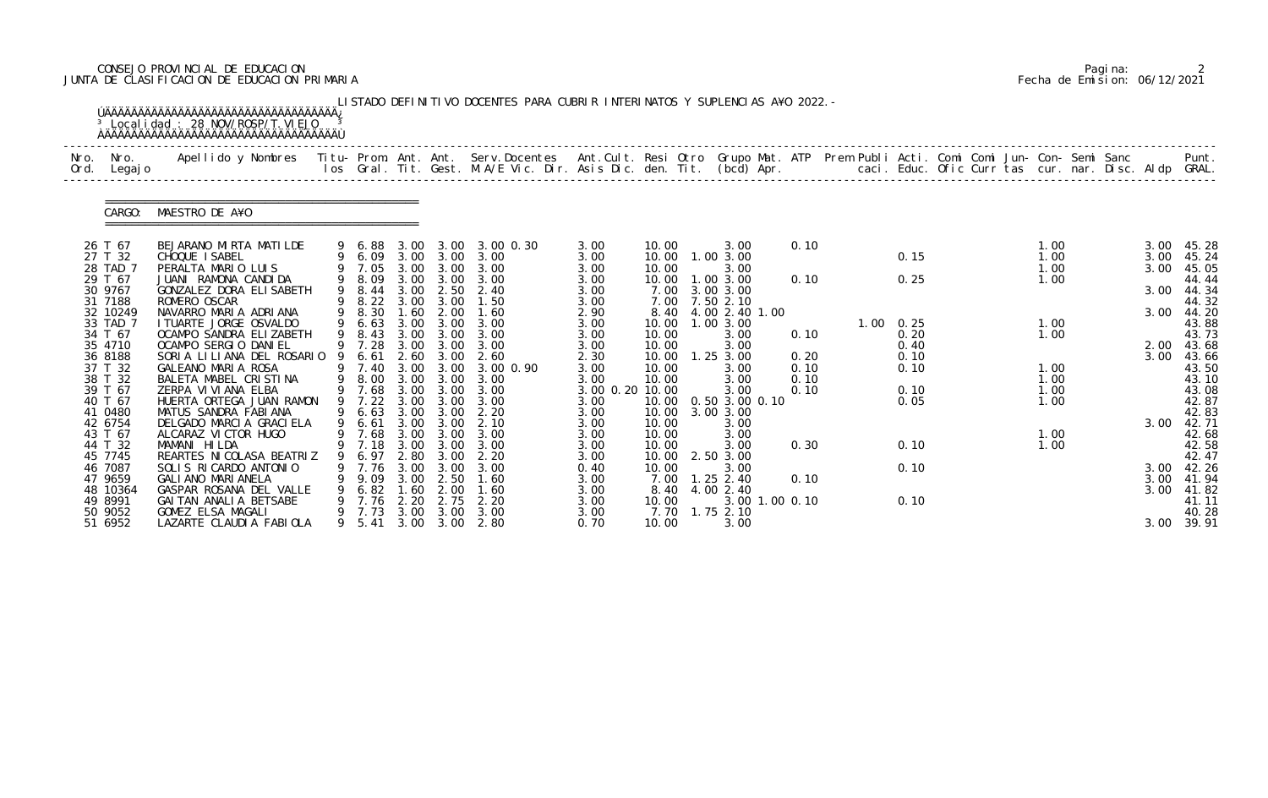# CONSEJO PROVINCIAL DE EDUCACION Pagina: 2 JUNTA DE CLASIFICACION DE EDUCACION PRIMARIA Fecha de Emision: 06/12/2021

| Nro.<br>Ord. | Nro.<br>Legaj o     | Apellido y Nombres  Titu- Prom. Ant. Ant. Serv.Docentes  Ant.Cult. Resi Otro Grupo Mat. ATP Prem Publi Acti. Comi Comi Jun- Con- Semi Sanc         Punt.<br>Ios Gral. Tit. Gest. M.A/E Vic. Dir. Asis Dic. den. Tit. (bcd) Apr. |   |                |              |                   |                     |                 |                |                       |      |  |                |  |              |  |              |                |
|--------------|---------------------|---------------------------------------------------------------------------------------------------------------------------------------------------------------------------------------------------------------------------------|---|----------------|--------------|-------------------|---------------------|-----------------|----------------|-----------------------|------|--|----------------|--|--------------|--|--------------|----------------|
|              | CARGO:              | MAESTRO DE A¥O                                                                                                                                                                                                                  |   |                |              |                   |                     |                 |                |                       |      |  |                |  |              |  |              |                |
|              | 26 T 67             | BEJARANO MIRTA MATILDE                                                                                                                                                                                                          |   | 9 6.88         |              |                   | 3.00 3.00 3.00 0.30 | 3.00            | 10.00          | 3.00                  | 0.10 |  |                |  | 1.00         |  | 3.00         | 45.28          |
|              | 27 T 32             | CHOQUE I SABEL                                                                                                                                                                                                                  |   | 9 6.09         |              | 3.00 3.00         | 3.00                | 3.00            | 10.00          | 1.00 3.00             |      |  | 0.15           |  | 1.00         |  | 3.00         | 45.24          |
|              | 28 TAD 7<br>29 T 67 | PERALTA MARIO LUIS<br>JUANI RAMONA CANDIDA                                                                                                                                                                                      |   | 7.05<br>9 8.09 | 3.00<br>3.00 | 3.00<br>3.00      | 3.00<br>3.00        | 3.00<br>3.00    | 10.00<br>10.00 | 3.00<br>1.00 3.00     | 0.10 |  | 0.25           |  | 1.00<br>1.00 |  | 3.00         | 45.05<br>44.44 |
|              | 30 9767             | GONZALEZ DORA ELISABETH                                                                                                                                                                                                         | 9 | 8.44           |              |                   | 3.00 2.50 2.40      | 3.00            | 7.00           | 3.00 3.00             |      |  |                |  |              |  | 3.00         | 44.34          |
|              | 31 7188             | ROMERO OSCAR                                                                                                                                                                                                                    | 9 | 8.22           | 3.00         | 3.00              | 1.50                | 3.00            | 7.00           | 7.50 2.10             |      |  |                |  |              |  |              | 44.32          |
|              | 32 10249            | NAVARRO MARIA ADRIANA                                                                                                                                                                                                           |   | 9 8.30         | 1.60         | 2.00              | 1.60                | 2.90            |                | 8.40 4.00 2.40 1.00   |      |  |                |  |              |  |              | 3.00 44.20     |
|              | 33 TAD 7            | I TUARTE JORGE OSVALDO                                                                                                                                                                                                          | 9 | 6.63           |              | 3.00 3.00         | 3.00                | 3.00            | 10.00          | 1.00 3.00             |      |  | $1.00 \t 0.25$ |  | 1.00         |  |              | 43.88          |
|              | 34 T 67<br>35 4710  | OCAMPO SANDRA ELIZABETH<br>OCAMPO SERGIO DANIEL                                                                                                                                                                                 |   | 8.43<br>9 7.28 | 3.00<br>3.00 | 3.00<br>3.00      | 3.00<br>3.00        | 3.00            | 10.00<br>10.00 | 3.00                  | 0.10 |  | 0.20           |  | 1.00         |  |              | 43.73          |
|              | 36 8188             | SORIA LILIANA DEL ROSARIO                                                                                                                                                                                                       |   | 6.61           |              | 2.60 3.00         | 2.60                | 3.00<br>2.30    | 10.00          | 3.00<br>$1.25$ $3.00$ | 0.20 |  | 0.40<br>0.10   |  |              |  | 2.00<br>3.00 | 43.68<br>43.66 |
|              | 37 T 32             | GALEANO MARIA ROSA                                                                                                                                                                                                              |   | 9 7.40         | 3.00         | 3.00              | 3.00 0.90           | 3.00            | 10.00          | 3.00                  | 0.10 |  | 0.10           |  | 1.00         |  |              | 43.50          |
|              | 38 T 32             | BALETA MABEL CRISTINA                                                                                                                                                                                                           | 9 | 8.00           | 3.00         | 3.00              | 3.00                | 3.00            | 10.00          | 3.00                  | 0.10 |  |                |  | 1.00         |  |              | 43.10          |
|              | 39 T 67             | ZERPA VI VI ANA ELBA                                                                                                                                                                                                            |   | 9 7.68         |              | 3.00 3.00         | 3.00                | 3.00 0.20 10.00 |                | 3.00                  | 0.10 |  | 0.10           |  | 1.00         |  |              | 43.08          |
|              | 40 T 67             | HUERTA ORTEGA JUAN RAMON                                                                                                                                                                                                        |   | 7.22           | 3.00         | 3.00              | 3.00                | 3.00            | 10.00          | 0.50 3.00 0.10        |      |  | 0.05           |  | 1.00         |  |              | 42.87          |
|              | 41 0480             | MATUS SANDRA FABIANA                                                                                                                                                                                                            |   | 6.63           | 3.00         | 3.00              | 2.20                | 3.00            | 10.00          | 3.00 3.00             |      |  |                |  |              |  |              | 42.83          |
|              | 42 6754             | DELGADO MARCIA GRACIELA                                                                                                                                                                                                         | 9 | 6.61           |              | 3.00 3.00         | 2.10                | 3.00            | 10.00          | 3.00                  |      |  |                |  |              |  | 3.00         | 42.71          |
|              | 43 T 67             | ALCARAZ VI CTOR HUGO                                                                                                                                                                                                            |   | 9 7.68         | 3.00         | 3.00              | 3.00                | 3.00            | 10.00          | 3.00                  |      |  |                |  | 1.00         |  |              | 42.68          |
|              | 44 T 32<br>45 7745  | MAMANI HILDA<br>REARTES NI COLASA BEATRIZ                                                                                                                                                                                       | 9 | 9 7.18<br>6.97 | 2.80         | 3.00 3.00<br>3.00 | 3.00                | 3.00<br>3.00    | 10.00<br>10.00 | 3.00<br>2.50 3.00     | 0.30 |  | 0.10           |  | 1.00         |  |              | 42.58<br>42.47 |
|              | 46 7087             | SOLIS RICARDO ANTONIO                                                                                                                                                                                                           |   | 9 7.76         | 3.00         | 3.00              | 2.20<br>3.00        | 0.40            | 10.00          | 3.00                  |      |  | 0.10           |  |              |  |              | 3.00 42.26     |
|              | 47 9659             | GALI ANO MARI ANELA                                                                                                                                                                                                             |   | 9.09           | 3.00         | 2.50              | 1.60                | 3.00            | 7.00           | $1.25$ 2.40           | 0.10 |  |                |  |              |  |              | 3.00 41.94     |
|              | 48 10364            | GASPAR ROSANA DEL VALLE                                                                                                                                                                                                         |   | 6.82           | 1.60         | 2.00              | 1.60                | 3.00            |                | 8.40 4.00 2.40        |      |  |                |  |              |  |              | 3.00 41.82     |
|              | 49 8991             | GAI TAN ANALIA BETSABE                                                                                                                                                                                                          |   | 7.76           | 2.20         | 2.75              | 2.20                | 3.00            | 10.00          | 3.00 1.00 0.10        |      |  | 0.10           |  |              |  |              | 41.11          |
|              | 50 9052             | GOMEZ ELSA MAGALI                                                                                                                                                                                                               |   | 9 7.73         | 3.00         | 3.00              | 3.00                | 3.00            | 7.70           | 1.75 2.10             |      |  |                |  |              |  |              | 40.28          |
|              | 51 6952             | LAZARTE CLAUDIA FABIOLA                                                                                                                                                                                                         |   | 9 5.41         |              |                   | 3.00 3.00 2.80      | 0.70            | 10.00          | 3.00                  |      |  |                |  |              |  |              | 3.00 39.91     |

|  | Pagi na: |                              |
|--|----------|------------------------------|
|  |          | Fecha de Emision: 06/12/2021 |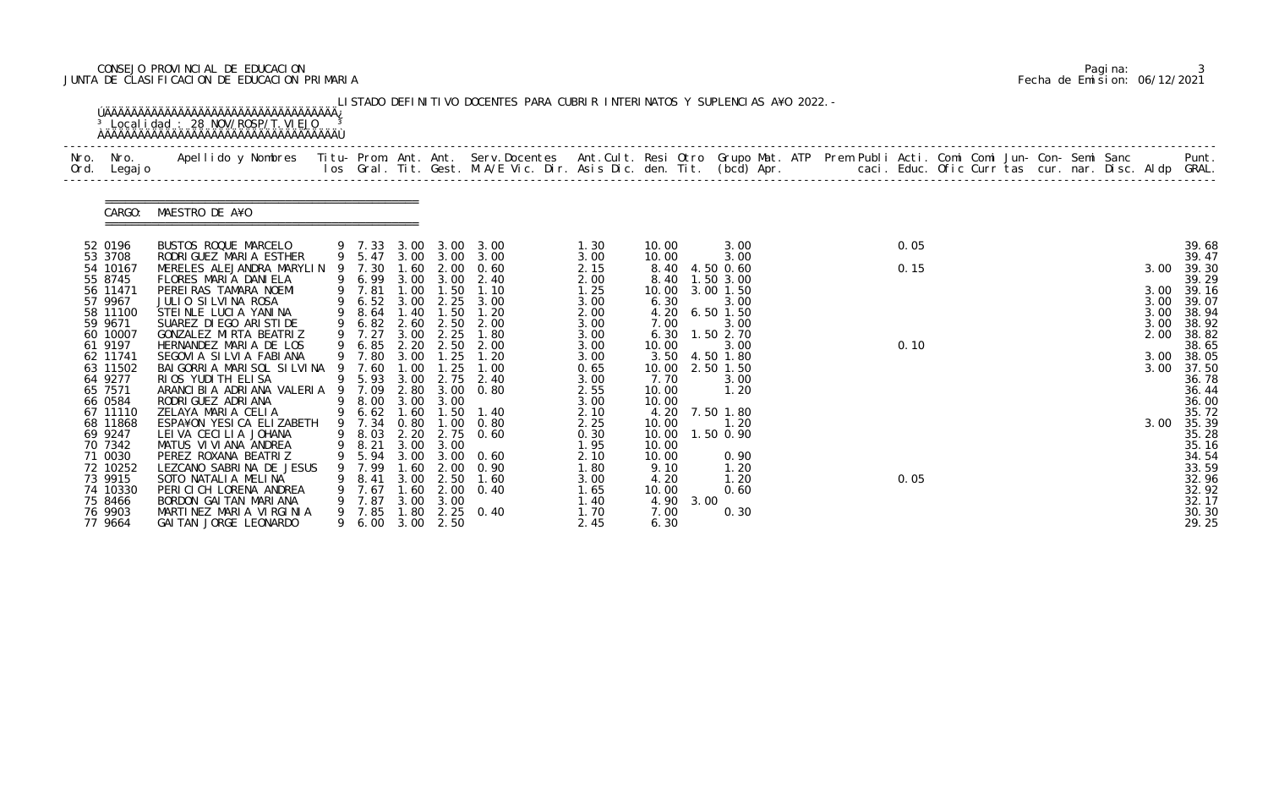# CONSEJO PROVINCIAL DE EDUCACION Pagina: 3 JUNTA DE CLASIFICACION DE EDUCACION PRIMARIA Fecha de Emision: 06/12/2021

|      |                                                                                                                                                                         | <sup>3</sup> Local i dad: 28 NOV/ROSP/T. VI EJO                                                                                                                                                                                                                                                                                                                                                        |   |                                                                                                                                 |                                                      |                                                                                                            | LISTADO DEFINITIVO DOCENTES PARA CUBRIR INTERINATOS Y SUPLENCIAS A¥O 2022. -                                                                                                   |                                                                                                                      |                                                                                                             |                                                                                                                                                           |  |                      |  |  |  |                                                              |                                                                                                                                     |
|------|-------------------------------------------------------------------------------------------------------------------------------------------------------------------------|--------------------------------------------------------------------------------------------------------------------------------------------------------------------------------------------------------------------------------------------------------------------------------------------------------------------------------------------------------------------------------------------------------|---|---------------------------------------------------------------------------------------------------------------------------------|------------------------------------------------------|------------------------------------------------------------------------------------------------------------|--------------------------------------------------------------------------------------------------------------------------------------------------------------------------------|----------------------------------------------------------------------------------------------------------------------|-------------------------------------------------------------------------------------------------------------|-----------------------------------------------------------------------------------------------------------------------------------------------------------|--|----------------------|--|--|--|--------------------------------------------------------------|-------------------------------------------------------------------------------------------------------------------------------------|
| Nro. | Nro. In the Nro.<br>Ord. Legajo                                                                                                                                         | Apellido y Nombres - Titu- Prom. Ant. Ant. Serv.Docentes - Ant.Cult. Resi Otro Grupo Mat. ATP Prem Publi Acti. Comi Comi Jun- Con- Semi Sanc - - - Punt.<br>Ios Gral. Tit. Gest. M.A/E Vic. Dir. Asis Dic. den. Tit. (bcd) Apr. -                                                                                                                                                                      |   |                                                                                                                                 |                                                      |                                                                                                            |                                                                                                                                                                                |                                                                                                                      |                                                                                                             |                                                                                                                                                           |  |                      |  |  |  |                                                              |                                                                                                                                     |
|      | CARGO:                                                                                                                                                                  | MAESTRO DE A¥O                                                                                                                                                                                                                                                                                                                                                                                         |   |                                                                                                                                 |                                                      |                                                                                                            |                                                                                                                                                                                |                                                                                                                      |                                                                                                             |                                                                                                                                                           |  |                      |  |  |  |                                                              |                                                                                                                                     |
|      | 52 0196<br>53 3708<br>54 10167<br>55 8745<br>56 11471<br>57 9967<br>58 11100<br>59 9671<br>60 10007<br>61 9197<br>62 11741<br>63 11502<br>64 9277<br>65 7571<br>66 0584 | BUSTOS ROQUE MARCELO<br>RODRI GUEZ MARIA ESTHER<br>MERELES ALEJANDRA MARYLIN<br>FLORES MARIA DANIELA<br>PEREIRAS TAMARA NOEMI<br>JULIO SILVINA ROSA<br>STEINLE LUCIA YANINA<br>SUAREZ DI EGO ARI STI DE<br>GONZALEZ MIRTA BEATRIZ<br>HERNANDEZ MARIA DE LOS<br>SEGOVIA SILVIA FABIANA<br>BAI GORRI A MARI SOL SI LVI NA 9<br>RIOS YUDITH ELISA<br>ARANCI BI A ADRI ANA VALERI A<br>RODRI GUEZ ADRI ANA |   | 9 7.30<br>9 7.81<br>9 6.52<br>9 8.64 1.40<br>9 6.82<br>9 7.27<br>9 6.85 2.20<br>9 7.80<br>7.60<br>9 5.93 3.00<br>9 7.09<br>8.00 | 1.60<br>3.00<br>2.60<br>3.00<br>3.00<br>1.00<br>3.00 | 2.00<br>1.00 1.50<br>2.25<br>1.50<br>2.50<br>2.25<br>1.25<br>$\overline{\phantom{0}}$ . 25<br>2.75<br>3.00 | 9 7.33 3.00 3.00 3.00<br>9 5.47 3.00 3.00 3.00<br>0.60<br>9 6.99 3.00 3.00 2.40<br>1.10<br>3.00<br>1.20<br>2.00<br>1.80<br>2.50 2.00<br>1.20<br>1.00<br>2.40<br>2.80 3.00 0.80 | 1.30<br>3.00<br>2.15<br>2.00<br>1.25<br>3.00<br>2.00<br>3.00<br>3.00<br>3.00<br>3.00<br>0.65<br>3.00<br>2.55<br>3.00 | 10.00<br>10.00<br>8.40<br>8.40<br>10.00<br>6.30<br>7.00<br>6.30<br>10.00<br>10.00<br>7.70<br>10.00<br>10.00 | 3.00<br>3.00<br>4.50 0.60<br>1.50 3.00<br>3.00 1.50<br>3.00<br>4.20 6.50 1.50<br>3.00<br>1.50 2.70<br>3.00<br>3.50 4.50 1.80<br>2.50 1.50<br>3.00<br>1.20 |  | 0.05<br>0.15<br>0.10 |  |  |  | 3.00<br>3.00<br>3.00<br>3.00<br>3.00<br>2.00<br>3.00<br>3.00 | 39.68<br>39.47<br>39.30<br>39.29<br>39.16<br>39.07<br>38.94<br>38.92<br>38.82<br>38.65<br>38.05<br>37.50<br>36.78<br>36.44<br>36.00 |
|      | 67 11110<br>68 11868<br>69 9247<br>70 7342<br>71 0030<br>72 10252<br>73 9915<br>74 10330<br>75 8466<br>76 9903<br>77 9664                                               | ZELAYA MARIA CELIA<br>ESPA¥ON YESICA ELIZABETH<br>LEI VA CECILIA JOHANA<br>MATUS VI VI ANA ANDREA<br>PEREZ ROXANA BEATRIZ<br>LEZCANO SABRINA DE JESUS<br>SOTO NATALIA MELINA<br>PERICICH LORENA ANDREA<br>BORDON GAI TAN MARI ANA<br>MARTINEZ MARIA VIRGINIA<br>GAI TAN JORGE LEONARDO                                                                                                                 | 9 | 9 8.03 2.20<br>5.94<br>7.99<br>8.41<br>7.67<br>7.87<br>9 7.85<br>9 6.00                                                         | 3.00<br>.60<br>3.00<br>.60<br>3.00<br>1.80           | 2.75<br>9 8.21 3.00 3.00<br>3.00<br>2.00<br>2.50<br>2.00<br>3.00<br>3.00 2.50                              | 9 6.62 1.60 1.50 1.40<br>9 7.34 0.80 1.00 0.80<br>0.60<br>0.60<br>0.90<br>1.60<br>0.40<br>2.25 0.40                                                                            | 2.10<br>2.25<br>0.30<br>1.95<br>2.10<br>1.80<br>3.00<br>1.65<br>1.40<br>1.70<br>2.45                                 | 4.20<br>10.00<br>10.00<br>10.00<br>10.00<br>9.10<br>4.20<br>10.00<br>4.90<br>7.00<br>6.30                   | 7.50 1.80<br>1.20<br>1.50 0.90<br>0.90<br>1.20<br>1.20<br>0.60<br>3.00<br>0.30                                                                            |  | 0.05                 |  |  |  | 3.00                                                         | 35.72<br>35.39<br>35.28<br>35.16<br>34.54<br>33.59<br>32.96<br>32.92<br>32.17<br>30.30<br>29.25                                     |

|  | Pagi na: |                              |
|--|----------|------------------------------|
|  |          | Fecha de Emision: 06/12/2021 |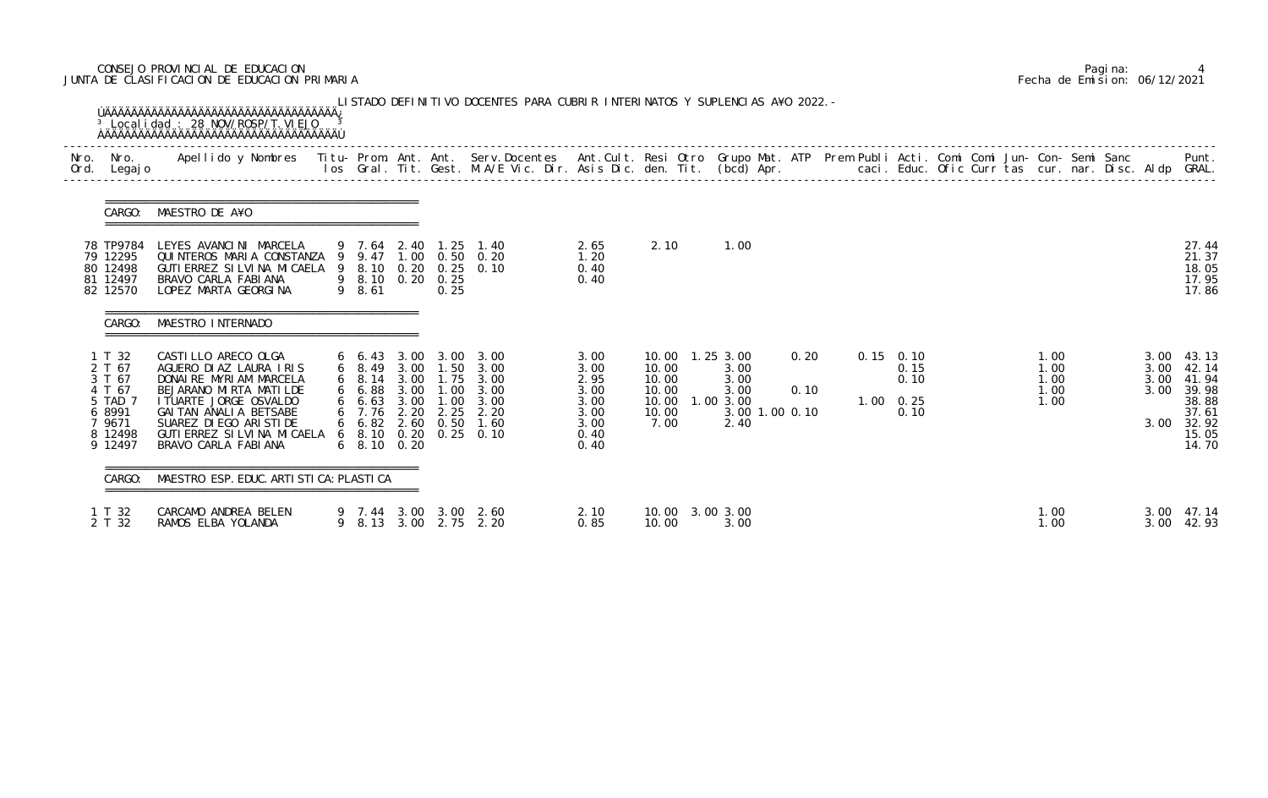# CONSEJO PROVINCIAL DE EDUCACION Pagina: 4 JUNTA DE CLASIFICACION DE EDUCACION PRIMARIA Fecha de Emision: 06/12/2021

| Ord. | Nro. Nro.<br>Legaj o                                                                      | Apellido y Nombres  Titu- Prom. Ant. Ant.  Serv.Docentes  Ant.Cult. Resi Otro  Grupo Mat. ATP  Prem Publi Acti. Comi Comi Jun- Con- Semi Sanc              Punt.<br>Ios Gral. Tit. Gest. M.A/E Vic. Dir. Asis Dic. den. Tit. (bcd          |                                                              |              |                   |                                                                                                                                                                |                                                                      |                                                   |                                                                                 |              |                               |                      |  |                                      |  |                      |                                                                                           |
|------|-------------------------------------------------------------------------------------------|--------------------------------------------------------------------------------------------------------------------------------------------------------------------------------------------------------------------------------------------|--------------------------------------------------------------|--------------|-------------------|----------------------------------------------------------------------------------------------------------------------------------------------------------------|----------------------------------------------------------------------|---------------------------------------------------|---------------------------------------------------------------------------------|--------------|-------------------------------|----------------------|--|--------------------------------------|--|----------------------|-------------------------------------------------------------------------------------------|
|      | CARGO:                                                                                    | MAESTRO DE A¥O                                                                                                                                                                                                                             |                                                              |              |                   |                                                                                                                                                                |                                                                      |                                                   |                                                                                 |              |                               |                      |  |                                      |  |                      |                                                                                           |
|      | 78 TP9784<br>79 12295<br>80 12498<br>81 12497<br>82 12570                                 | LEYES AVANCINI MARCELA<br>QUINTEROS MARIA CONSTANZA 9 9.47 1.00 0.50 0.20<br>GUTI ERREZ SI LVI NA MI CAELA 9 8.10 0.20 0.25 0.10<br>BRAVO CARLA FABIANA<br>LOPEZ MARTA GEORGINA                                                            | 9 8.10 0.20 0.25<br>9 8.61                                   |              | 0.25              | 9 7.64 2.40 1.25 1.40                                                                                                                                          | 2.65<br>1.20<br>0.40<br>0.40                                         | 2.10                                              | 1.00                                                                            |              |                               |                      |  |                                      |  |                      | 27.44<br>21.37<br>18.05<br>17.95<br>17.86                                                 |
|      | CARGO:                                                                                    | MAESTRO INTERNADO                                                                                                                                                                                                                          |                                                              |              |                   |                                                                                                                                                                |                                                                      |                                                   |                                                                                 |              |                               |                      |  |                                      |  |                      |                                                                                           |
|      | 1 T 32<br>2 T 67<br>3 T 67<br>4 T 67<br>5 TAD 7<br>6 8991<br>7 9671<br>8 12498<br>9 12497 | CASTILLO ARECO OLGA<br>AGUERO DIAZ LAURA IRIS<br>DONAIRE MYRIAM MARCELA<br>BEJARANO MIRTA MATILDE<br>I TUARTE JORGE OSVALDO<br>GAI TAN ANALI A BETSABE<br>SUAREZ DI EGO ARI STI DE<br>GUTI ERREZ SI LVI NA MI CAELA<br>BRAVO CARLA FABIANA | 66.88<br>6, 7.76<br>$6\quad 6.82$<br>$6\quad 8.10\quad 0.20$ | 3.00<br>2.20 | 2.25<br>2.60 0.50 | 6 6.43 3.00 3.00 3.00<br>6 8.49 3.00 1.50 3.00<br>6 8.14 3.00 1.75 3.00<br>$1.00 \quad 3.00$<br>6 6.63 3.00 1.00 3.00<br>2.20<br>1.60<br>6 8.10 0.20 0.25 0.10 | 3.00<br>3.00<br>2.95<br>3.00<br>3.00<br>3.00<br>3.00<br>0.40<br>0.40 | 10.00<br>10.00<br>10.00<br>10.00<br>10.00<br>7.00 | 10.00  1.25  3.00<br>3.00<br>3.00<br>3.00<br>1.003.00<br>3.00 1.00 0.10<br>2.40 | 0.20<br>0.10 | $0.15$ 0.10<br>$1.00 \t 0.25$ | 0.15<br>0.10<br>0.10 |  | 1.00<br>1.00<br>1.00<br>1.00<br>1.00 |  | 3.00<br>3.00<br>3.00 | $3.00$ 43.13<br>42.14<br>41.94<br>39.98<br>38.88<br>37.61<br>3.00 32.92<br>15.05<br>14.70 |
|      | CARGO:                                                                                    | MAESTRO ESP. EDUC. ARTI STI CA: PLASTI CA                                                                                                                                                                                                  |                                                              |              |                   |                                                                                                                                                                |                                                                      |                                                   |                                                                                 |              |                               |                      |  |                                      |  |                      |                                                                                           |
|      | 1 T 32<br>2 T 32                                                                          | CARCAMO ANDREA BELEN<br>RAMOS ELBA YOLANDA                                                                                                                                                                                                 |                                                              |              |                   | 9 7.44 3.00 3.00 2.60<br>9 8.13 3.00 2.75 2.20                                                                                                                 | 2.10<br>0.85                                                         | 10.00                                             | 10.00 3.00 3.00<br>3.00                                                         |              |                               |                      |  | 1.00<br>1.00                         |  | 3.00                 | 47.14<br>3.00 42.93                                                                       |

|  | Pagi na: |                              |
|--|----------|------------------------------|
|  |          | Fecha de Emision: 06/12/2021 |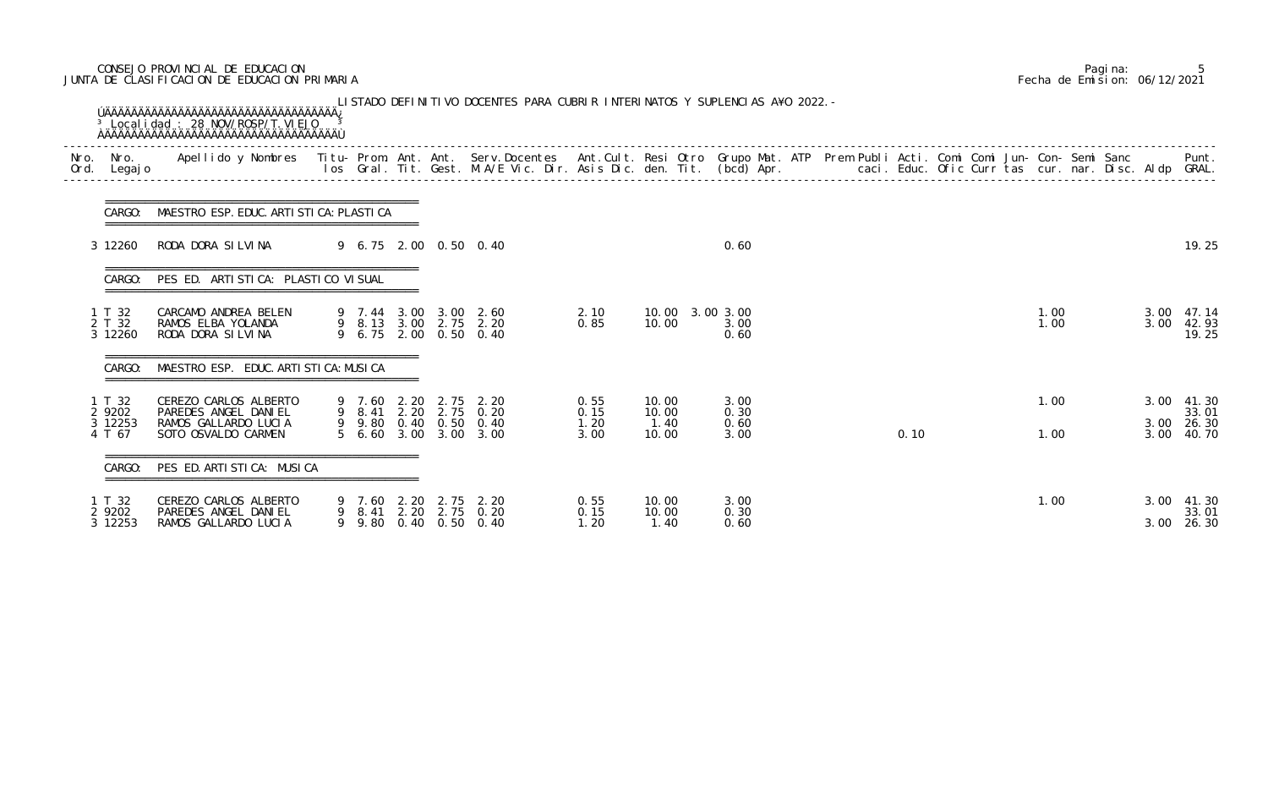# CONSEJO PROVINCIAL DE EDUCACION Pagina: 5 JUNTA DE CLASIFICACION DE EDUCACION PRIMARIA Fecha de Emision: 06/12/2021

|                                       | CARGO: MAESTRO ESP. EDUC. ARTI STI CA: PLASTI CA                                             |  |  |                                                                                                                        |                              |                                 |                              |  |      |  |              |  |                      |                                  |
|---------------------------------------|----------------------------------------------------------------------------------------------|--|--|------------------------------------------------------------------------------------------------------------------------|------------------------------|---------------------------------|------------------------------|--|------|--|--------------|--|----------------------|----------------------------------|
| 3 12260                               | RODA DORA SILVINA                                                                            |  |  | 9 6.75 2.00 0.50 0.40                                                                                                  |                              |                                 | 0.60                         |  |      |  |              |  |                      | 19.25                            |
| CARGO:                                | PES ED. ARTISTICA: PLASTICO VISUAL                                                           |  |  |                                                                                                                        |                              |                                 |                              |  |      |  |              |  |                      |                                  |
| 1 T 32<br>2 T 32<br>3 12260           | CARCAMO ANDREA BELEN<br>RAMOS ELBA YOLANDA<br>RODA DORA SILVINA                              |  |  | 9 7.44 3.00 3.00 2.60<br>9 8.13 3.00 2.75 2.20<br>9 6.75 2.00 0.50 0.40                                                | 2.10<br>0.85                 | 10.00 3.00 3.00<br>10.00        | 3.00<br>0.60                 |  |      |  | 1.00<br>1.00 |  | 3.00<br>3.00         | 47.14<br>42.93<br>19.25          |
| CARGO:                                | MAESTRO ESP. EDUC. ARTI STI CA: MUSI CA                                                      |  |  |                                                                                                                        |                              |                                 |                              |  |      |  |              |  |                      |                                  |
| 1 T 32<br>2 9202<br>3 12253<br>4 T 67 | CEREZO CARLOS ALBERTO<br>PAREDES ANGEL DANIEL<br>RAMOS GALLARDO LUCIA<br>SOTO OSVALDO CARMEN |  |  | 9 7.60 2.20 2.75 2.20<br>9 8.41 2.20 2.75 0.20<br>$9\quad 9.80\quad 0.40\quad 0.50\quad 0.40$<br>5 6.60 3.00 3.00 3.00 | 0.55<br>0.15<br>1.20<br>3.00 | 10.00<br>10.00<br>1.40<br>10.00 | 3.00<br>0.30<br>0.60<br>3.00 |  | 0.10 |  | 1.00<br>1.00 |  | 3.00<br>3.00<br>3.00 | 41.30<br>33.01<br>26.30<br>40.70 |
| CARGO:                                | PES ED. ARTI STI CA: MUSI CA                                                                 |  |  |                                                                                                                        |                              |                                 |                              |  |      |  |              |  |                      |                                  |
| 1 T 32<br>2 9202<br>3 12253           | CEREZO CARLOS ALBERTO<br>PAREDES ANGEL DANIEL<br>RAMOS GALLARDO LUCIA                        |  |  | 9 7.60 2.20 2.75 2.20<br>9 8.41 2.20 2.75 0.20<br>9 9.80 0.40 0.50 0.40                                                | 0.55<br>0.15<br>1.20         | 10.00<br>10.00<br>1.40          | 3.00<br>0.30<br>0.60         |  |      |  | 1.00         |  | 3.00<br>3.00         | 41.30<br>33.01<br>26.30          |

|  | Pagi na: |                              |
|--|----------|------------------------------|
|  |          | Fecha de Emision: 06/12/2021 |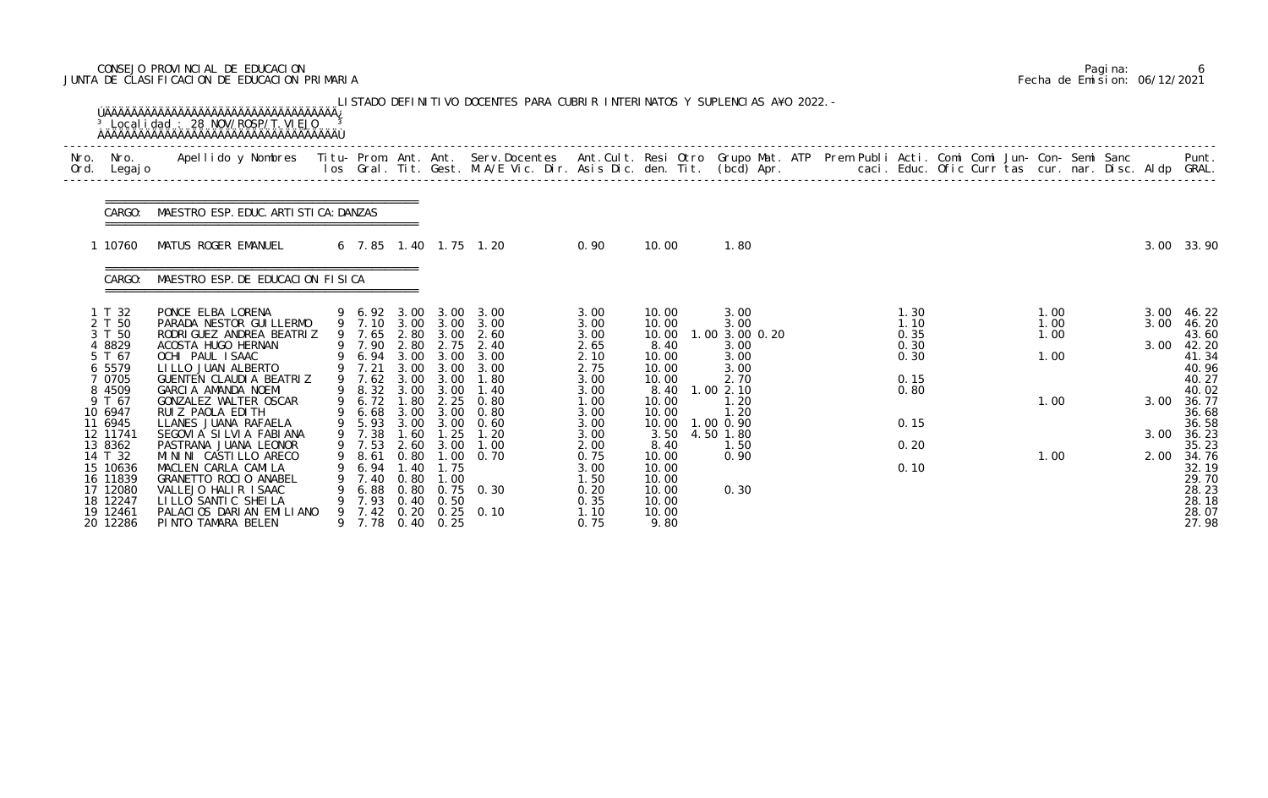# CONSEJO PROVINCIAL DE EDUCACION Pagina: 6 JUNTA DE CLASIFICACION DE EDUCACION PRIMARIA Fecha de Emision: 06/12/2021

| Nro.<br>Ord. | Nro.<br>Legaj o                                                                           | Apellido y Nombres Titu- Prom. Ant. Ant. Serv.Docentes Ant.Cult. Resi Otro Grupo Mat. ATP Prem Publi Acti. Comi Comi Jun- Con- Semi Sanc                                                    |   |                                                                    |                                                      |                                                           | los Gral. Tit. Gest. M.A/E Vic. Dir. Asis Dic. den. Tit. (bcd) Apr.       caci. Educ. Ofic Curr tas cur. nar. Disc. Aldp GRAL. |                                                              |                                                                    |                                |  |                      |  |                      |  |              | Punt.                            |
|--------------|-------------------------------------------------------------------------------------------|---------------------------------------------------------------------------------------------------------------------------------------------------------------------------------------------|---|--------------------------------------------------------------------|------------------------------------------------------|-----------------------------------------------------------|--------------------------------------------------------------------------------------------------------------------------------|--------------------------------------------------------------|--------------------------------------------------------------------|--------------------------------|--|----------------------|--|----------------------|--|--------------|----------------------------------|
|              | CARGO:                                                                                    | MAESTRO ESP. EDUC. ARTI STI CA: DANZAS                                                                                                                                                      |   |                                                                    |                                                      |                                                           |                                                                                                                                |                                                              |                                                                    |                                |  |                      |  |                      |  |              |                                  |
|              | 10760                                                                                     | MATUS ROGER EMANUEL                                                                                                                                                                         |   |                                                                    |                                                      |                                                           | 6 7.85 1.40 1.75 1.20                                                                                                          | 0.90                                                         | 10.00                                                              | 1.80                           |  |                      |  |                      |  |              | 3.00 33.90                       |
|              | CARGO:                                                                                    | MAESTRO ESP. DE EDUCACION FISICA                                                                                                                                                            |   |                                                                    |                                                      |                                                           |                                                                                                                                |                                                              |                                                                    |                                |  |                      |  |                      |  |              |                                  |
|              | 1 T 32<br>2 T 50<br>3 T 50                                                                | PONCE ELBA LORENA<br>PARADA NESTOR GUI LLERMO<br>RODRI GUEZ ANDREA BEATRIZ                                                                                                                  |   | 9 6.92 3.00<br>9 7.10 3.00<br>9 7.65                               | 2.80                                                 | 3.00<br>3.00<br>3.00                                      | 3.00<br>3.00<br>2.60                                                                                                           | 3.00<br>3.00<br>3.00                                         | 10.00<br>10.00<br>10.00                                            | 3.00<br>3.00<br>1.00 3.00 0.20 |  | 1.30<br>1.10<br>0.35 |  | 1.00<br>1.00<br>1.00 |  | 3.00<br>3.00 | 46. 22<br>46.20<br>43.60         |
|              | 4 8829<br>5 T 67<br>6 5579<br>7 0705                                                      | ACOSTA HUGO HERNAN<br>OCHI PAUL ISAAC<br>LILLO JUAN ALBERTO<br>GUENTEN CLAUDIA BEATRIZ                                                                                                      |   | 9 7.90<br>6.94<br>9 7.21<br>9 7.62                                 | 2.80<br>3.00<br>3.00<br>3.00                         | 2.75<br>3.00<br>3.00<br>3.00                              | 2.40<br>3.00<br>3.00<br>1.80                                                                                                   | 2.65<br>2.10<br>2.75<br>3.00                                 | 8.40<br>10.00<br>10.00<br>10.00                                    | 3.00<br>3.00<br>3.00<br>2.70   |  | 0.30<br>0.30<br>0.15 |  | 1.00                 |  | 3.00         | 42.20<br>41.34<br>40.96<br>40.27 |
|              | 9 T 67<br>10 6947                                                                         | GONZALEZ WALTER OSCAR<br>RUIZ PAOLA EDITH                                                                                                                                                   |   | 6.72<br>6.68                                                       | 1.80                                                 |                                                           | $2.25 \t 0.80$<br>3.00 3.00 0.80                                                                                               | 1.00<br>3.00                                                 | 10.00<br>10.00                                                     | 1.20<br>1.20                   |  |                      |  | 1.00                 |  | 3.00         | 40.02<br>36.77<br>36.68<br>36.58 |
|              | 12 11741<br>13 8362<br>14 T 32                                                            | SEGOVIA SILVIA FABIANA<br>PASTRANA JUANA LEONOR<br>MININI CASTILLO ARECO                                                                                                                    |   | 9 7.38<br>9 7.53<br>8.61                                           | 1.60<br>2.60<br>0.80                                 | 1.25<br>3.00                                              | 1.20<br>1.00<br>$1.00 \t 0.70$                                                                                                 | 3.00<br>2.00<br>0.75                                         | 3.50<br>8.40<br>10.00                                              | 4.50 1.80<br>1.50<br>0.90      |  | 0.20                 |  | 1.00                 |  | 3.00<br>2.00 | 36.23<br>35.23<br>34.76<br>32.19 |
|              | 8 4509<br>11 6945<br>15 10636<br>16 11839<br>17 12080<br>18 12247<br>19 12461<br>20 12286 | GARCIA AMANDA NOEMI<br>LLANES JUANA RAFAELA<br>MACLEN CARLA CAMILA<br>GRANETTO ROCIO ANABEL<br>VALLEJO HALIR ISAAC<br>LILLO SANTIC SHEILA<br>PALACIOS DARIAN EMILIANO<br>PINTO TAMARA BELEN | 9 | 9 8.32<br>9 5.93<br>6.94<br>7.40<br>6.88<br>7.93<br>7.42<br>9 7.78 | 3.00<br>3.00<br>1.40<br>0.80<br>0.80<br>0.40<br>0.20 | 3.00<br>3.00<br>1.75<br>1.00<br>0.50<br>$0.40 \quad 0.25$ | 1.40<br>0.60<br>$0.75$ 0.30<br>$0.25$ 0.10                                                                                     | 3.00<br>3.00<br>3.00<br>1.50<br>0.20<br>0.35<br>1.10<br>0.75 | 8.40<br>10.00<br>10.00<br>10.00<br>10.00<br>10.00<br>10.00<br>9.80 | 1.00 2.10<br>1.00 0.90<br>0.30 |  | 0.80<br>0.15<br>0.10 |  |                      |  |              |                                  |

|  | Pagi na: |                              |
|--|----------|------------------------------|
|  |          | Fecha de Emision: 06/12/2021 |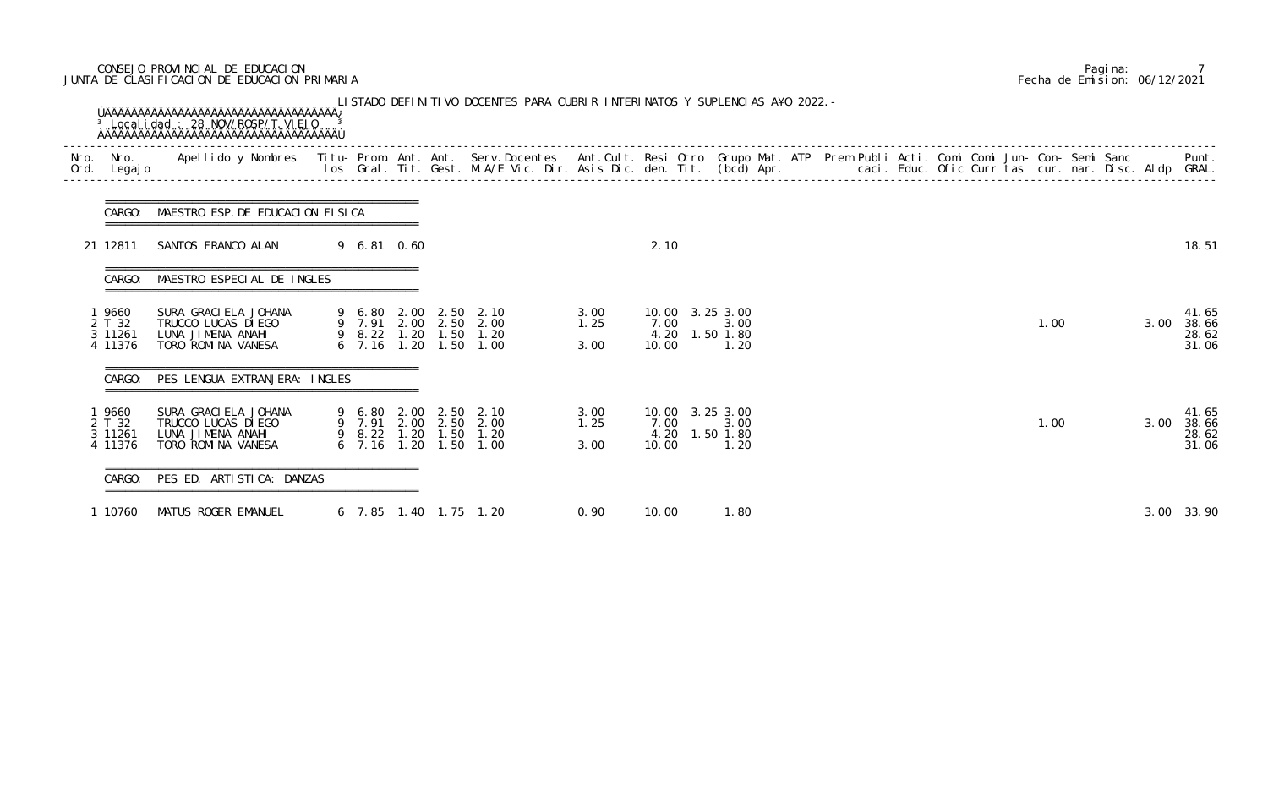# CONSEJO PROVINCIAL DE EDUCACION Pagina: 7 JUNTA DE CLASIFICACION DE EDUCACION PRIMARIA Fecha de Emision: 06/12/2021

| Nro.<br>Ord. | Nro.<br>Legaj o                      | Apellido y Nombres - Titu- Prom. Ant. Ant. Serv.Docentes - Ant.Cult. Resi Otro Grupo Mat. ATP Prem Publi Acti. Comi Comi Jun- Con- Semi Sanc - - - Punt.<br>Ios Gral. Tit. Gest. M.A/E Vic. Dir. Asis Dic. den. Tit. (bcd) Apr. - |                  |                                                                               |                      |                      |                        |                                              |  |  |  |      |  |      |                                  |
|--------------|--------------------------------------|-----------------------------------------------------------------------------------------------------------------------------------------------------------------------------------------------------------------------------------|------------------|-------------------------------------------------------------------------------|----------------------|----------------------|------------------------|----------------------------------------------|--|--|--|------|--|------|----------------------------------|
|              | CARGO:                               | MAESTRO ESP. DE EDUCACION FISICA                                                                                                                                                                                                  |                  |                                                                               |                      |                      |                        |                                              |  |  |  |      |  |      |                                  |
|              | 21 12811                             | SANTOS FRANCO ALAN                                                                                                                                                                                                                | 9 6.81 0.60      |                                                                               |                      |                      | 2.10                   |                                              |  |  |  |      |  |      | 18.51                            |
|              | CARGO:                               | MAESTRO ESPECIAL DE INGLES                                                                                                                                                                                                        |                  |                                                                               |                      |                      |                        |                                              |  |  |  |      |  |      |                                  |
|              | 9660<br>2 T 32<br>3 11261<br>4 11376 | SURA GRACI ELA JOHANA<br>TRUCCO LUCAS DI EGO<br>LUNA JIMENA ANAHI<br>TORO ROMINA VANESA                                                                                                                                           | 9 6.80<br>9 7.91 | 2.00 2.50<br>2.00 2.50 2.00<br>9 8.22 1.20 1.50 1.20<br>6 7.16 1.20 1.50 1.00 | 2.10                 | 3.00<br>1.25<br>3.00 | 10.00<br>7.00<br>10.00 | 3.253.00<br>3.00<br>4.20 1.50 1.80<br>1.20   |  |  |  | 1.00 |  | 3.00 | 41.65<br>38.66<br>28.62<br>31.06 |
|              | CARGO:                               | PES LENGUA EXTRANJERA: INGLES                                                                                                                                                                                                     |                  |                                                                               |                      |                      |                        |                                              |  |  |  |      |  |      |                                  |
|              | 9660<br>2 T 32<br>3 11261<br>4 11376 | SURA GRACI ELA JOHANA<br>TRUCCO LUCAS DI EGO<br>LUNA JIMENA ANAHI<br>TORO ROMINA VANESA                                                                                                                                           | 9 6.80<br>9 7.91 | 2.00 2.50 2.10<br>2.00 2.50<br>9 8.22 1.20 1.50<br>6 7.16 1.20 1.50           | 2.00<br>1.20<br>1.00 | 3.00<br>1.25<br>3.00 | 7.00<br>4.20<br>10.00  | 10.00 3.25 3.00<br>3.00<br>1.50 1.80<br>1.20 |  |  |  | 1.00 |  | 3.00 | 41.65<br>38.66<br>28.62<br>31.06 |
|              | CARGO:                               | PES ED. ARTISTICA: DANZAS                                                                                                                                                                                                         |                  |                                                                               |                      |                      |                        |                                              |  |  |  |      |  |      |                                  |
|              | 1 10760                              | MATUS ROGER EMANUEL                                                                                                                                                                                                               |                  | 6 7.85 1.40 1.75 1.20                                                         |                      | 0.90                 | 10.00                  | 1.80                                         |  |  |  |      |  | 3.00 | 33.90                            |

|  | Pagi na: |                              |
|--|----------|------------------------------|
|  |          | Fecha de Emision: 06/12/2021 |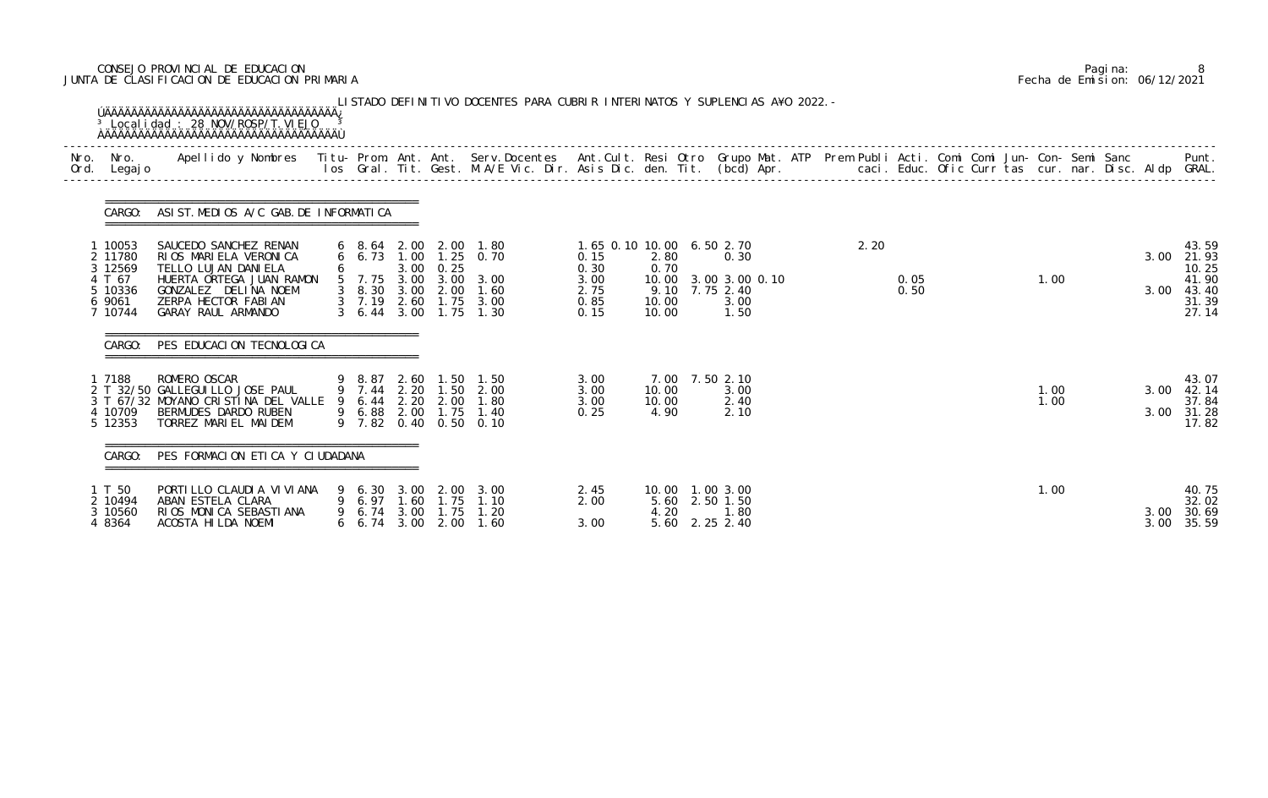# CONSEJO PROVINCIAL DE EDUCACION Pagina: 8 JUNTA DE CLASIFICACION DE EDUCACION PRIMARIA Fecha de Emision: 06/12/2021

| Nro.<br>Ord. | Nro.<br>Legaj o                        | Apellido y Nombres - Titu- Prom. Ant. Ant. Serv.Docentes - Ant.Cult. Resi Otro Grupo Mat. ATP - Prem Publi Acti. Comi Comi Jun- Con- Semi Sanc |                            |              |                                                          | los Gral. Tit. Gest. M.A/E Vic. Dir. Asis Dic. den. Tit. (bcd) Apr.       caci. Educ. Ofic Curr tas cur. nar. Disc. Aldp GRAL. |                                           |                         |                                                                    |  |      |              |  |              |              | Punt.                                     |
|--------------|----------------------------------------|------------------------------------------------------------------------------------------------------------------------------------------------|----------------------------|--------------|----------------------------------------------------------|--------------------------------------------------------------------------------------------------------------------------------|-------------------------------------------|-------------------------|--------------------------------------------------------------------|--|------|--------------|--|--------------|--------------|-------------------------------------------|
|              | CARGO:                                 | ASIST. MEDIOS A/C GAB. DE INFORMATICA                                                                                                          |                            |              |                                                          |                                                                                                                                |                                           |                         |                                                                    |  |      |              |  |              |              |                                           |
|              | 1 10053<br>2 11780<br>3 12569          | SAUCEDO SANCHEZ RENAN<br>RIOS MARIELA VERONICA<br>TELLO LUJAN DANI ELA                                                                         | 6 6.73                     |              | 3.00 0.25                                                | 6 8.64 2.00 2.00 1.80<br>1.00 1.25 0.70                                                                                        | 1.65 0.10 10.00 6.50 2.70<br>0.15<br>0.30 | 2.80<br>0.70            | 0.30                                                               |  | 2.20 |              |  |              | 3.00         | 43.59<br>21.93<br>10.25                   |
|              | 4 T 67<br>5 10336<br>6 9061<br>7 10744 | HUERTA ORTEGA JUAN RAMON<br>GONZALEZ DELINA NOEM<br>ZERPA HECTOR FABIAN<br>GARAY RAUL ARMANDO                                                  | 5 7.75<br>$3 \quad 7.19$   | 3.00<br>2.60 | 3 8.30 3.00 2.00                                         | 3.00 3.00<br>1.60<br>$1.75$ $3.00$<br>3 6.44 3.00 1.75 1.30                                                                    | 3.00<br>2.75<br>0.85<br>0.15              | 10.00<br>10.00<br>10.00 | 3.00 3.00 0.10<br>9.10 7.75 2.40<br>3.00<br>1.50                   |  |      | 0.05<br>0.50 |  | 1.00         | 3.00         | 41.90<br>43.40<br>31.39<br>27.14          |
|              | CARGO:                                 | PES EDUCACION TECNOLOGICA                                                                                                                      |                            |              |                                                          |                                                                                                                                |                                           |                         |                                                                    |  |      |              |  |              |              |                                           |
|              | 7188<br>4 10709<br>5 12353             | ROMERO OSCAR<br>2 T 32/50 GALLEGUI LLO JOSE PAUL<br>3 T 67/32 MOYANO CRISTINA DEL VALLE<br>BERMUDES DARDO RUBEN<br>TORREZ MARIEL MAIDEM        |                            |              | 9 8.87 2.60 1.50<br>9 7.44 2.20 1.50<br>9 6.44 2.20 2.00 | 1.50<br>2.00<br>1.80<br>9 6.88 2.00 1.75 1.40<br>9 7.82 0.40 0.50 0.10                                                         | 3.00<br>3.00<br>3.00<br>0.25              | 10.00<br>10.00<br>4.90  | 7.00 7.50 2.10<br>3.00<br>2.40<br>2.10                             |  |      |              |  | 1.00<br>1.00 | 3.00<br>3.00 | 43.07<br>42.14<br>37.84<br>31.28<br>17.82 |
|              | CARGO:                                 | PES FORMACION ETICA Y CIUDADANA                                                                                                                |                            |              |                                                          |                                                                                                                                |                                           |                         |                                                                    |  |      |              |  |              |              |                                           |
|              | 1 T 50<br>2 10494<br>3 10560<br>4 8364 | PORTILLO CLAUDIA VIVIANA<br>ABAN ESTELA CLARA<br>RIOS MONICA SEBASTIANA<br>ACOSTA HILDA NOEMI                                                  | 9 6.97 1.60<br>9 6.74 3.00 |              | 1.75                                                     | 9 6.30 3.00 2.00 3.00<br>1.75 1.10<br>1.20<br>6 6.74 3.00 2.00 1.60                                                            | 2.45<br>2.00<br>3.00                      |                         | 10.00  1.00  3.00<br>5.60 2.50 1.50<br>4.20 1.80<br>5.60 2.25 2.40 |  |      |              |  | 1.00         | 3.00<br>3.00 | 40.75<br>32.02<br>30.69<br>35.59          |

|  | Pagi na: |                              |
|--|----------|------------------------------|
|  |          | Fecha de Emision: 06/12/2021 |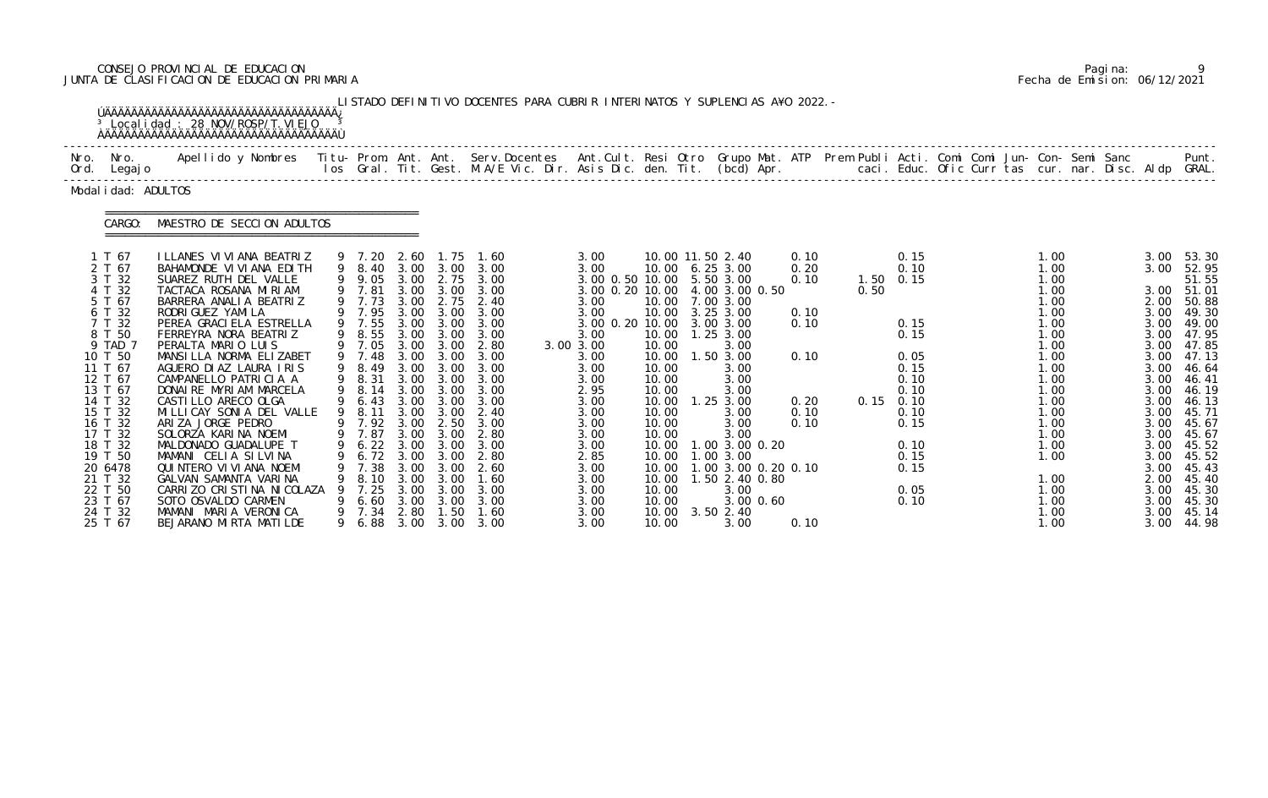# CONSEJO PROVINCIAL DE EDUCACION Pagina: 9 JUNTA DE CLASIFICACION DE EDUCACION PRIMARIA Fecha de Emision: 06/12/2021

|              |                                                                                                                                                                                                                                                                         | <sup>3</sup> Local i dad: 28 NOV/ROSP/T. VI EJO                                                                                                                                                                                                                                                                                                                                                                                                                                                                                                                                                                                                                |                  |                                                                                                                                                                                                                          |                                                                                                                                                                                      |                                                                                                                                                                                                   | LISTADO DEFINITIVO DOCENTES PARA CUBRIR INTERINATOS Y SUPLENCIAS A¥O 2022. -                                                                                                                                           |                                                                                                                                                                                                                                                                               |                                                                                                                                                                                  |                                                                                                                                                                                                                                                                           |           |                                                                              |              |                                                                                                                                           |                                                      |                                                                                                                                                                                              |                                                                                                                                                                                              |                                                                                                                                                                                                                               |
|--------------|-------------------------------------------------------------------------------------------------------------------------------------------------------------------------------------------------------------------------------------------------------------------------|----------------------------------------------------------------------------------------------------------------------------------------------------------------------------------------------------------------------------------------------------------------------------------------------------------------------------------------------------------------------------------------------------------------------------------------------------------------------------------------------------------------------------------------------------------------------------------------------------------------------------------------------------------------|------------------|--------------------------------------------------------------------------------------------------------------------------------------------------------------------------------------------------------------------------|--------------------------------------------------------------------------------------------------------------------------------------------------------------------------------------|---------------------------------------------------------------------------------------------------------------------------------------------------------------------------------------------------|------------------------------------------------------------------------------------------------------------------------------------------------------------------------------------------------------------------------|-------------------------------------------------------------------------------------------------------------------------------------------------------------------------------------------------------------------------------------------------------------------------------|----------------------------------------------------------------------------------------------------------------------------------------------------------------------------------|---------------------------------------------------------------------------------------------------------------------------------------------------------------------------------------------------------------------------------------------------------------------------|-----------|------------------------------------------------------------------------------|--------------|-------------------------------------------------------------------------------------------------------------------------------------------|------------------------------------------------------|----------------------------------------------------------------------------------------------------------------------------------------------------------------------------------------------|----------------------------------------------------------------------------------------------------------------------------------------------------------------------------------------------|-------------------------------------------------------------------------------------------------------------------------------------------------------------------------------------------------------------------------------|
| Nro.<br>Ord. | Nro.<br>Legaj o                                                                                                                                                                                                                                                         | Apellido y Nombres - Titu- Prom. Ant. Ant. Serv.Docentes - Ant.Cult. Resi Otro Grupo Mat. ATP - Prem Publi Acti. Comi Comi Jun- Con- Semi Sanc - Semi Sanc - Semi Sanc - Semi Sanc - Semi Sanc - Semi Sanc - Semi Sanc - Semi                                                                                                                                                                                                                                                                                                                                                                                                                                  |                  |                                                                                                                                                                                                                          |                                                                                                                                                                                      |                                                                                                                                                                                                   |                                                                                                                                                                                                                        |                                                                                                                                                                                                                                                                               |                                                                                                                                                                                  |                                                                                                                                                                                                                                                                           |           |                                                                              |              |                                                                                                                                           | caci. Educ. Ofic Curr tas cur. nar. Disc. Aldp GRAL. |                                                                                                                                                                                              |                                                                                                                                                                                              | Punt.                                                                                                                                                                                                                         |
|              | Modal i dad: ADULTOS                                                                                                                                                                                                                                                    |                                                                                                                                                                                                                                                                                                                                                                                                                                                                                                                                                                                                                                                                |                  |                                                                                                                                                                                                                          |                                                                                                                                                                                      |                                                                                                                                                                                                   |                                                                                                                                                                                                                        |                                                                                                                                                                                                                                                                               |                                                                                                                                                                                  |                                                                                                                                                                                                                                                                           |           |                                                                              |              |                                                                                                                                           |                                                      |                                                                                                                                                                                              |                                                                                                                                                                                              |                                                                                                                                                                                                                               |
|              | CARGO:                                                                                                                                                                                                                                                                  | MAESTRO DE SECCION ADULTOS                                                                                                                                                                                                                                                                                                                                                                                                                                                                                                                                                                                                                                     |                  |                                                                                                                                                                                                                          |                                                                                                                                                                                      |                                                                                                                                                                                                   |                                                                                                                                                                                                                        |                                                                                                                                                                                                                                                                               |                                                                                                                                                                                  |                                                                                                                                                                                                                                                                           |           |                                                                              |              |                                                                                                                                           |                                                      |                                                                                                                                                                                              |                                                                                                                                                                                              |                                                                                                                                                                                                                               |
|              | 1 T 67<br>2 T 67<br>3 T 32<br>4 T 32<br>5 T 67<br>6 T 32<br>7 T 32<br>8 T 50<br>9 TAD 7<br>10 T 50<br>11 T 67<br>12 T 67<br>13 T 67<br>14 T 32<br>15 T 32<br>16 T 32<br>17 T 32<br>18 T 32<br>19 T 50<br>20 6478<br>21 T 32<br>22 T 50<br>23 T 67<br>24 T 32<br>25 T 67 | I LLANES VI VI ANA BEATRIZ<br>BAHAMONDE VI VI ANA EDI TH<br>SUAREZ RUTH DEL VALLE<br>TACTACA ROSANA MIRIAM<br>BARRERA ANALIA BEATRIZ<br>RODRI GUEZ YAMI LA<br>PEREA GRACI ELA ESTRELLA<br>FERREYRA NORA BEATRIZ<br>PERALTA MARIO LUIS<br>MANSILLA NORMA ELIZABET<br>AGUERO DI AZ LAURA IRIS<br>CAMPANELLO PATRICIA A<br>DONAIRE MYRIAM MARCELA<br>CASTILLO ARECO OLGA<br>MI LLI CAY SONI A DEL VALLE<br>ARIZA JORGE PEDRO<br>SOLORZA KARINA NOEMI<br>MALDONADO GUADALUPE T<br>MAMANI CELIA SILVINA<br>QUINTERO VI VI ANA NOEMI<br>GALVAN SAMANTA VARINA<br>CARRIZO CRISTINA NICOLAZA<br>SOTO OSVALDO CARMEN<br>MAMANI MARIA VERONICA<br>BEJARANO MIRTA MATILDE | 9<br>9<br>9<br>9 | 9 7.20<br>9 8.40<br>9 9.05<br>9 7.81<br>9 7.73<br>9 7.95<br>9 7.55<br>8.55<br>9 7.05<br>9 7.48<br>8.49<br>9 8.31<br>8.14<br>6.43<br>8.11<br>9 7.92<br>9 7.87<br>6.72<br>7.38<br>8.10<br>7.25<br>6.60<br>9 7.34<br>9 6.88 | 2.60<br>3.00<br>3.00<br>3.00<br>3.00<br>3.00<br>3.00<br>3.00<br>3.00<br>3.00<br>3.00<br>3.00<br>3.00<br>3.00<br>3.00<br>3.00<br>3.00<br>3.00<br>3.00<br>3.00<br>3.00<br>3.00<br>2.80 | 1.75<br>3.00<br>2.75<br>3.00<br>2.75<br>3.00<br>3.00<br>3.00<br>3.00<br>3.00<br>3.00<br>3.00<br>3.00<br>3.00<br>3.00<br>2.50<br>3.00<br>3.00<br>3.00<br>3.00<br>3.00<br>3.00<br>1.50<br>3.00 3.00 | 1.60<br>3.00<br>3.00<br>3.00<br>2.40<br>3.00<br>3.00<br>3.00<br>2.80<br>3.00<br>3.00<br>3.00<br>3.00<br>3.00<br>2.40<br>3.00<br>2.80<br>9 6.22 3.00 3.00 3.00<br>2.80<br>-2.60<br>1.60<br>3.00<br>3.00<br>1.60<br>3.00 | 3.00<br>3.00<br>3.00 0.50 10.00 5.50 3.00<br>3.00 0.20 10.00 4.00 3.00 0.50<br>3.00<br>3.00<br>3.00 0.20 10.00 3.00 3.00<br>3.00<br>3.00 3.00<br>3.00<br>3.00<br>3.00<br>2.95<br>3.00<br>3.00<br>3.00<br>3.00<br>3.00<br>2.85<br>3.00<br>3.00<br>3.00<br>3.00<br>3.00<br>3.00 | 10.00<br>10.00<br>10.00<br>10.00<br>10.00<br>10.00<br>10.00<br>10.00<br>10.00<br>10.00<br>10.00<br>10.00<br>10.00<br>10.00<br>10.00<br>10.00<br>10.00<br>10.00<br>10.00<br>10.00 | 10.00 11.50 2.40<br>10.00 6.25 3.00<br>7.00 3.00<br>3.25 3.00<br>1.25 3.00<br>3.00<br>1.50 3.00<br>3.00<br>3.00<br>3.00<br>$1.25$ $3.00$<br>3.00<br>3.00<br>3.00<br>1.00 3.00 0.20<br>1.00 3.00<br>1.00 3.00 0.20 0.10<br>1.50 2.40 0.80<br>3.00<br>$3.50$ $2.40$<br>3.00 | 3.00 0.60 | 0.10<br>0.20<br>0.10<br>0.10<br>0.10<br>0.10<br>0.20<br>0.10<br>0.10<br>0.10 | 0.50<br>0.15 | 0.15<br>0.10<br>1.50 0.15<br>0.15<br>0.15<br>0.05<br>0.15<br>0.10<br>0.10<br>0.10<br>0.10<br>0.15<br>0.10<br>0.15<br>0.15<br>0.05<br>0.10 |                                                      | 1.00<br>1.00<br>1.00<br>1.00<br>1.00<br>1.00<br>1.00<br>1.00<br>1.00<br>1.00<br>1.00<br>1.00<br>1.00<br>1.00<br>1.00<br>1.00<br>1.00<br>1.00<br>1.00<br>1.00<br>1.00<br>1.00<br>1.00<br>1.00 | 3.00<br>3.00<br>3.00<br>2.00<br>3.00<br>3.00<br>3.00<br>3.00<br>3.00<br>3.00<br>3.00<br>3.00<br>3.00<br>3.00<br>3.00<br>3.00<br>3.00<br>3.00<br>3.00<br>2.00<br>3.00<br>3.00<br>3.00<br>3.00 | 53.30<br>52.95<br>51.55<br>51.01<br>50.88<br>49.30<br>49.00<br>47.95<br>47.85<br>47.13<br>46.64<br>46.41<br>46.19<br>46.13<br>45.71<br>45.67<br>45.67<br>45.52<br>45.52<br>45.43<br>45.40<br>45.30<br>45.30<br>45.14<br>44.98 |

|  | Pagi na: |                              |
|--|----------|------------------------------|
|  |          | Fecha de Emision: 06/12/2021 |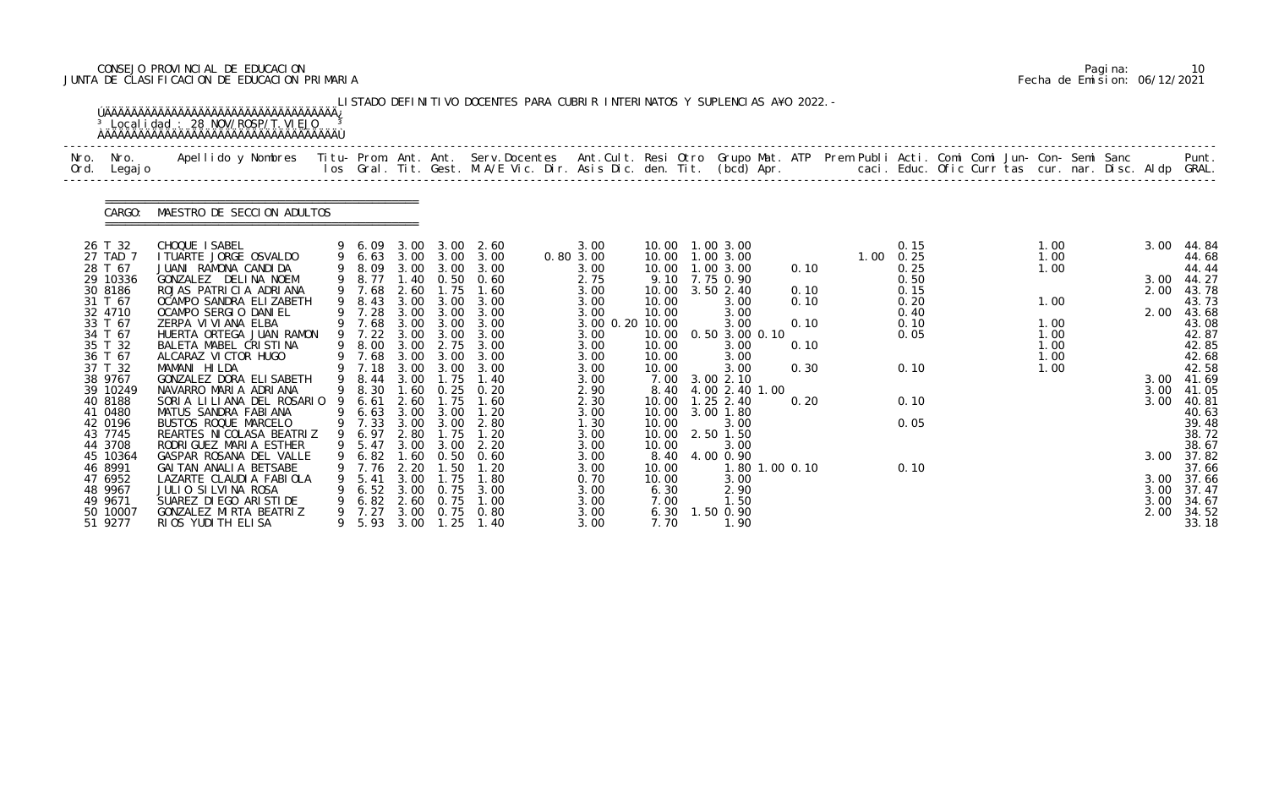# CONSEJO PROVINCIAL DE EDUCACION Pagina: 10 JUNTA DE CLASIFICACION DE EDUCACION PRIMARIA Fecha de Emision: 06/12/2021

| Nro. | Nro.<br>Ord. Legajo | Apellido y Nombres  Titu- Prom. Ant. Ant. Serv.Docentes  Ant.Cult. Resi Otro Grupo Mat. ATP Prem Publi Acti. Comi Comi Jun- Con- Semi Sanc         Punt.<br>Ios Gral. Tit. Gest. M.A/E Vic. Dir. Asis Dic. den. Tit. (bcd) Apr. |    |                    |              |                           |                              |                         |                |                                |      |  |                           |  |              |  |                    |                |
|------|---------------------|---------------------------------------------------------------------------------------------------------------------------------------------------------------------------------------------------------------------------------|----|--------------------|--------------|---------------------------|------------------------------|-------------------------|----------------|--------------------------------|------|--|---------------------------|--|--------------|--|--------------------|----------------|
|      | CARGO:              | MAESTRO DE SECCION ADULTOS                                                                                                                                                                                                      |    |                    |              |                           |                              |                         |                |                                |      |  |                           |  |              |  |                    |                |
|      | 26 T 32             | CHOQUE I SABEL                                                                                                                                                                                                                  |    |                    |              |                           | 9 6.09 3.00 3.00 2.60        | 3.00                    |                | 10.00  1.00  3.00              |      |  | 0.15                      |  | 1.00         |  |                    | 3.00 44.84     |
|      | 27 TAD 7<br>28 T 67 | I TUARTE JORGE OSVALDO<br>JUANI RAMONA CANDIDA                                                                                                                                                                                  |    | 9 6.63<br>9 8.09   |              | 3.00 3.00                 | 3.00 3.00 3.00<br>3.00       | 0.80 3.00<br>3.00       | 10.00          | 10.00  1.00  3.00<br>1.00 3.00 | 0.10 |  | $1.00 \quad 0.25$<br>0.25 |  | 1.00<br>1.00 |  |                    | 44.68<br>44.44 |
|      | 29 10336            | GONZALEZ DELINA NOEM                                                                                                                                                                                                            |    |                    |              |                           | 9 8.77 1.40 0.50 0.60        | 2.75                    |                | 9.10 7.75 0.90                 |      |  | 0.50                      |  |              |  |                    | 3.00 44.27     |
|      | 30 8186             | ROJAS PATRICIA ADRIANA                                                                                                                                                                                                          |    | 9 7.68             | 2.60         | 1.75                      | 1.60                         | 3.00                    |                | 10.00 3.50 2.40                | 0.10 |  | 0.15                      |  |              |  | 2.00               | 43.78          |
|      | 31 T 67             | OCAMPO SANDRA ELIZABETH                                                                                                                                                                                                         | 9  | 8.43               | 3.00         | 3.00                      | 3.00                         | 3.00                    | 10.00          | 3.00                           | 0.10 |  | 0.20                      |  | 1.00         |  |                    | 43.73          |
|      | 32 4710             | OCAMPO SERGIO DANIEL                                                                                                                                                                                                            |    | 9 7.28             | 3.00         | 3.00                      | 3.00                         | 3.00                    | 10.00          | 3.00                           |      |  | 0.40                      |  |              |  | 2.00               | 43.68          |
|      | 33 T 67<br>34 T 67  | ZERPA VI VI ANA ELBA<br>HUERTA ORTEGA JUAN RAMON                                                                                                                                                                                |    | 9 7.68<br>$9$ 7.22 | 3.00         | $3.00 \quad 3.00$<br>3.00 | 3.00<br>3.00                 | 3.00 0.20 10.00<br>3.00 | 10.00          | 3.00<br>0.50 3.00 0.10         | 0.10 |  | 0.10<br>0.05              |  | 1.00<br>1.00 |  |                    | 43.08<br>42.87 |
|      | 35 T 32             | BALETA MABEL CRISTINA                                                                                                                                                                                                           |    | 9 8.00             | 3.00         | 2.75                      | 3.00                         | 3.00                    | 10.00          | 3.00                           | 0.10 |  |                           |  | 1.00         |  |                    | 42.85          |
|      | 36 T 67             | ALCARAZ VI CTOR HUGO                                                                                                                                                                                                            |    |                    |              |                           | 3.00 3.00 3.00               | 3.00                    | 10.00          | 3.00                           |      |  |                           |  | 1.00         |  |                    | 42.68          |
|      | 37 T 32             | MAMANI HILDA                                                                                                                                                                                                                    |    | 9 7.68<br>9 7.18   | 3.00         | 3.00                      | 3.00                         | 3.00                    | 10.00          | 3.00                           | 0.30 |  | 0.10                      |  | 1.00         |  |                    | 42.58          |
|      | 38 9767             | GONZALEZ DORA ELISABETH                                                                                                                                                                                                         |    | 9 8.44             | 3.00         | 1.75                      | 1.40                         | 3.00                    | 7.00           | 3.002.10                       |      |  |                           |  |              |  | 3.00 41.69         |                |
|      | 39 10249            | NAVARRO MARIA ADRIANA                                                                                                                                                                                                           |    | 9 8.30             |              |                           | $1.60$ $0.25$ $0.20$<br>1.60 | 2.90                    |                | 8.40 4.00 2.40 1.00            |      |  | 0.10                      |  |              |  | 3.00<br>3.00       | 41.05          |
|      | 40 8188<br>41 0480  | SORIA LILIANA DEL ROSARIO<br>MATUS SANDRA FABIANA                                                                                                                                                                               |    | 6.61<br>9 6.63     | 2.60<br>3.00 | 1.75<br>3.00              | 1.20                         | 2.30<br>3.00            | 10.00<br>10.00 | $1.25$ 2.40<br>3.00 1.80       | 0.20 |  |                           |  |              |  |                    | 40.81<br>40.63 |
|      | 42 0196             | BUSTOS ROQUE MARCELO                                                                                                                                                                                                            |    | 9 7.33             |              |                           | 3.00 3.00 2.80               | 1.30                    | 10.00          | 3.00                           |      |  | 0.05                      |  |              |  |                    | 39.48          |
|      | 43 7745             | REARTES NI COLASA BEATRIZ                                                                                                                                                                                                       |    | 9 6.97             | 2.80         | 1.75                      | 1.20                         | 3.00                    | 10.00          | 2.50 1.50                      |      |  |                           |  |              |  |                    | 38.72          |
|      | 44 3708             | RODRI GUEZ MARI A ESTHER                                                                                                                                                                                                        |    | 9 5.47 3.00 3.00   |              |                           | 2.20                         | 3.00                    | 10.00          | 3.00                           |      |  |                           |  |              |  |                    | 38.67          |
|      | 45 10364            | GASPAR ROSANA DEL VALLE                                                                                                                                                                                                         | 9  | 6.82               | 1.60         | 0.50                      | 0.60                         | 3.00                    | 8.40           | 4.00 0.90                      |      |  |                           |  |              |  |                    | 3.00 37.82     |
|      | 46 8991             | GAI TAN ANALI A BETSABE                                                                                                                                                                                                         |    | 7.76               | 2.20         | . 50                      |                              | 3.00                    | 10.00          | 1.80 1.00 0.10                 |      |  | 0.10                      |  |              |  |                    | 37.66          |
|      | 47 6952<br>48 9967  | LAZARTE CLAUDIA FABIOLA<br>JULIO SILVINA ROSA                                                                                                                                                                                   |    | 5.41<br>6.52       | 3.00<br>3.00 | . 75<br>0.75              | 1. 80<br>3.00                | 0.70<br>3.00            | 10.00<br>6.30  | 3.00<br>2.90                   |      |  |                           |  |              |  | 3.00 37.66<br>3.00 | 37.47          |
|      | 49 9671             | SUAREZ DI EGO ARI STI DE                                                                                                                                                                                                        |    | 6.82               | 2.60         | 0.75                      | 1.00                         | 3.00                    | 7.00           | 1.50                           |      |  |                           |  |              |  | 3.00               | 34.67          |
|      | 50 10007            | GONZALEZ MIRTA BEATRIZ                                                                                                                                                                                                          | 9. | 7.27               | 3.00         | 0.75                      | 0.80                         | 3.00                    | 6.30           | $1.50$ 0.90                    |      |  |                           |  |              |  | 2.00               | 34.52          |
|      | 51 9277             | RIOS YUDITH ELISA                                                                                                                                                                                                               |    |                    |              |                           | 5.93 3.00 1.25 1.40          | 3.00                    | 7.70           | 1.90                           |      |  |                           |  |              |  |                    | 33.18          |

|  | Pagi na: | 10                           |
|--|----------|------------------------------|
|  |          | Fecha de Emision: 06/12/2021 |